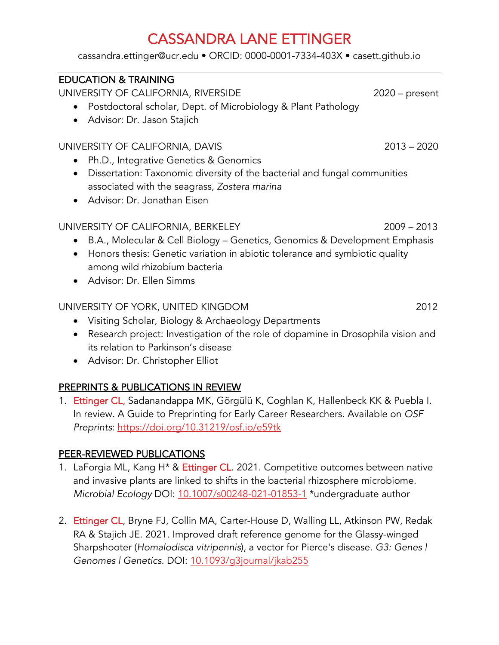cassandra.ettinger@ucr.edu • ORCID: 0000-0001-7334-403X • casett.github.io

## EDUCATION & TRAINING

UNIVERSITY OF CALIFORNIA, RIVERSIDE 2020 – present

- Postdoctoral scholar, Dept. of Microbiology & Plant Pathology
- Advisor: Dr. Jason Stajich

#### UNIVERSITY OF CALIFORNIA, DAVIS 2013 - 2020

- Ph.D., Integrative Genetics & Genomics
- Dissertation: Taxonomic diversity of the bacterial and fungal communities associated with the seagrass, *Zostera marina*
- Advisor: Dr. Jonathan Eisen

### UNIVERSITY OF CALIFORNIA, BERKELEY 2009 - 2013

- B.A., Molecular & Cell Biology Genetics, Genomics & Development Emphasis
- Honors thesis: Genetic variation in abiotic tolerance and symbiotic quality among wild rhizobium bacteria
- Advisor: Dr. Ellen Simms

## UNIVERSITY OF YORK, UNITED KINGDOM 2012

- Visiting Scholar, Biology & Archaeology Departments
- Research project: Investigation of the role of dopamine in Drosophila vision and its relation to Parkinson's disease
- Advisor: Dr. Christopher Elliot

## PREPRINTS & PUBLICATIONS IN REVIEW

1. Ettinger CL, Sadanandappa MK, Görgülü K, Coghlan K, Hallenbeck KK & Puebla I. In review. A Guide to Preprinting for Early Career Researchers. Available on *OSF Preprints*: https://doi.org/10.31219/osf.io/e59tk

### PEER-REVIEWED PUBLICATIONS

- 1. LaForgia ML, Kang H<sup>\*</sup> & Ettinger CL. 2021. Competitive outcomes between native and invasive plants are linked to shifts in the bacterial rhizosphere microbiome. *Microbial Ecology* DOI: 10.1007/s00248-021-01853-1 \*undergraduate author
- 2. Ettinger CL, Bryne FJ, Collin MA, Carter-House D, Walling LL, Atkinson PW, Redak RA & Stajich JE. 2021. Improved draft reference genome for the Glassy-winged Sharpshooter (*Homalodisca vitripennis*), a vector for Pierce's disease. *G3: Genes | Genomes | Genetics.* DOI: 10.1093/g3journal/jkab255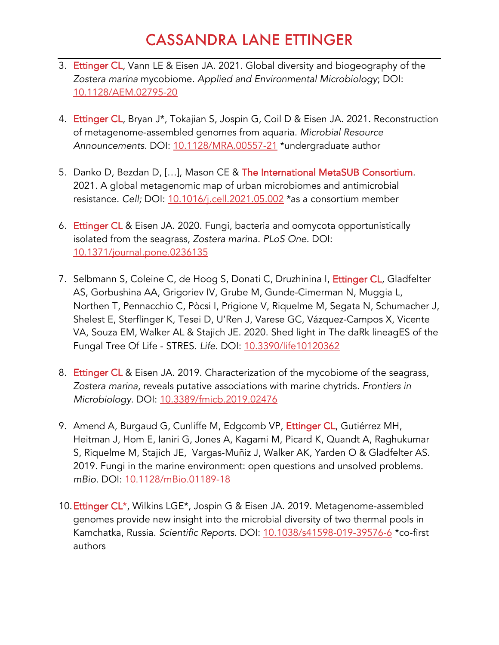- 3. Ettinger CL, Vann LE & Eisen JA. 2021. Global diversity and biogeography of the *Zostera marina* mycobiome*. Applied and Environmental Microbiology*; DOI: 10.1128/AEM.02795-20
- 4. Ettinger CL, Bryan J\*, Tokajian S, Jospin G, Coil D & Eisen JA. 2021. Reconstruction of metagenome-assembled genomes from aquaria. *Microbial Resource Announcements.* DOI: 10.1128/MRA.00557-21 \*undergraduate author
- 5. Danko D, Bezdan D, [...], Mason CE & The International MetaSUB Consortium. 2021. A global metagenomic map of urban microbiomes and antimicrobial resistance. *Cell;* DOI: 10.1016/j.cell.2021.05.002 \*as a consortium member
- 6. Ettinger CL & Eisen JA. 2020. Fungi, bacteria and oomycota opportunistically isolated from the seagrass, *Zostera marina. PLoS One*. DOI: 10.1371/journal.pone.0236135
- 7. Selbmann S, Coleine C, de Hoog S, Donati C, Druzhinina I, Ettinger CL, Gladfelter AS, Gorbushina AA, Grigoriev IV, Grube M, Gunde-Cimerman N, Muggia L, Northen T, Pennacchio C, Pòcsi I, Prigione V, Riquelme M, Segata N, Schumacher J, Shelest E, Sterflinger K, Tesei D, U'Ren J, Varese GC, Vázquez-Campos X, Vicente VA, Souza EM, Walker AL & Stajich JE. 2020. Shed light in The daRk lineagES of the Fungal Tree Of Life - STRES. *Life.* DOI: 10.3390/life10120362
- 8. Ettinger CL & Eisen JA. 2019. Characterization of the mycobiome of the seagrass, *Zostera marina*, reveals putative associations with marine chytrids*. Frontiers in Microbiology.* DOI: 10.3389/fmicb.2019.02476
- 9. Amend A, Burgaud G, Cunliffe M, Edgcomb VP, Ettinger CL, Gutiérrez MH, Heitman J, Hom E, Ianiri G, Jones A, Kagami M, Picard K, Quandt A, Raghukumar S, Riquelme M, Stajich JE, Vargas-Muñiz J, Walker AK, Yarden O & Gladfelter AS. 2019. Fungi in the marine environment: open questions and unsolved problems. *mBio.* DOI: 10.1128/mBio.01189-18
- 10.Ettinger CL\*, Wilkins LGE\*, Jospin G & Eisen JA. 2019. Metagenome-assembled genomes provide new insight into the microbial diversity of two thermal pools in Kamchatka, Russia. *Scientific Reports.* DOI: 10.1038/s41598-019-39576-6 \*co-first authors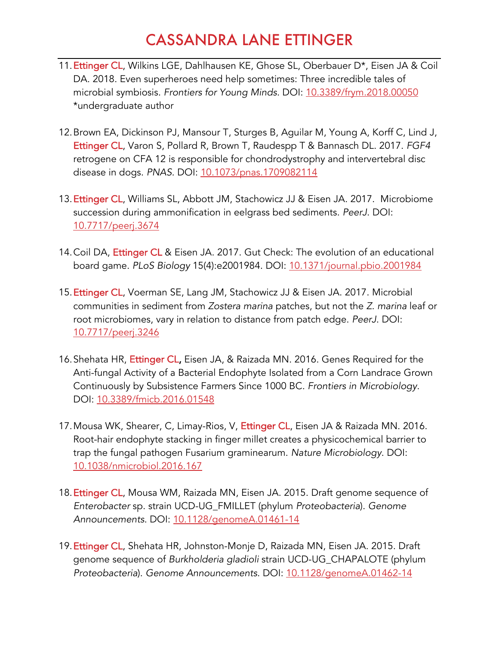- 11.Ettinger CL, Wilkins LGE, Dahlhausen KE, Ghose SL, Oberbauer D\*, Eisen JA & Coil DA. 2018. Even superheroes need help sometimes: Three incredible tales of microbial symbiosis. *Frontiers for Young Minds.* DOI: 10.3389/frym.2018.00050 \*undergraduate author
- 12.Brown EA, Dickinson PJ, Mansour T, Sturges B, Aguilar M, Young A, Korff C, Lind J, Ettinger CL, Varon S, Pollard R, Brown T, Raudespp T & Bannasch DL. 2017. *FGF4*  retrogene on CFA 12 is responsible for chondrodystrophy and intervertebral disc disease in dogs. *PNAS.* DOI: 10.1073/pnas.1709082114
- 13.Ettinger CL, Williams SL, Abbott JM, Stachowicz JJ & Eisen JA. 2017. Microbiome succession during ammonification in eelgrass bed sediments. *PeerJ*. DOI: 10.7717/peerj.3674
- 14. Coil DA, Ettinger CL & Eisen JA. 2017. Gut Check: The evolution of an educational board game. *PLoS Biology* 15(4):e2001984. DOI: 10.1371/journal.pbio.2001984
- 15. Ettinger CL, Voerman SE, Lang JM, Stachowicz JJ & Eisen JA. 2017. Microbial communities in sediment from *Zostera marina* patches, but not the *Z. marina* leaf or root microbiomes, vary in relation to distance from patch edge. *PeerJ*. DOI: 10.7717/peerj.3246
- 16. Shehata HR, Ettinger CL, Eisen JA, & Raizada MN. 2016. Genes Required for the Anti-fungal Activity of a Bacterial Endophyte Isolated from a Corn Landrace Grown Continuously by Subsistence Farmers Since 1000 BC*. Frontiers in Microbiology*. DOI: 10.3389/fmicb.2016.01548
- 17. Mousa WK, Shearer, C, Limay-Rios, V, Ettinger CL, Eisen JA & Raizada MN. 2016. Root-hair endophyte stacking in finger millet creates a physicochemical barrier to trap the fungal pathogen Fusarium graminearum. *Nature Microbiology*. DOI: 10.1038/nmicrobiol.2016.167
- 18. Ettinger CL, Mousa WM, Raizada MN, Eisen JA. 2015. Draft genome sequence of *Enterobacter* sp. strain UCD-UG\_FMILLET (phylum *Proteobacteria*). *Genome Announcements*. DOI: 10.1128/genomeA.01461-14
- 19. Ettinger CL, Shehata HR, Johnston-Monje D, Raizada MN, Eisen JA. 2015. Draft genome sequence of *Burkholderia gladioli* strain UCD-UG\_CHAPALOTE (phylum *Proteobacteria*). *Genome Announcements*. DOI: 10.1128/genomeA.01462-14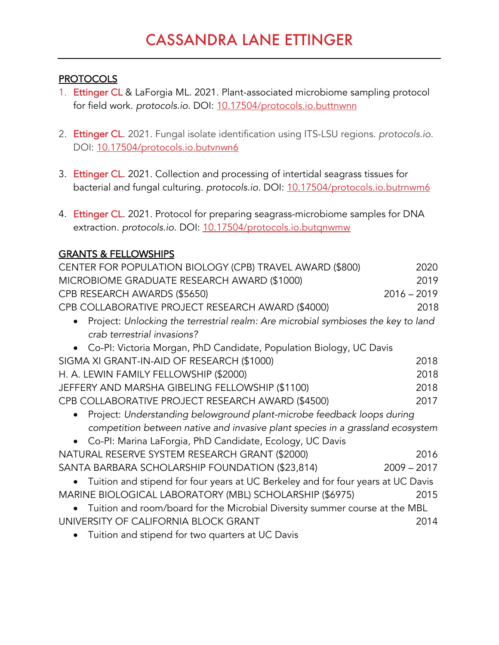#### PROTOCOLS

- 1. Ettinger CL & LaForgia ML. 2021. Plant-associated microbiome sampling protocol for field work. *protocols.io*. DOI: 10.17504/protocols.io.buttnwnn
- 2. Ettinger CL. 2021. Fungal isolate identification using ITS-LSU regions. *protocols.io*. DOI: 10.17504/protocols.io.butvnwn6
- 3. Ettinger CL. 2021. Collection and processing of intertidal seagrass tissues for bacterial and fungal culturing. *protocols.io*. DOI: 10.17504/protocols.io.butrnwm6
- 4. Ettinger CL. 2021. Protocol for preparing seagrass-microbiome samples for DNA extraction. *protocols.io*. DOI: 10.17504/protocols.io.butqnwmw

### GRANTS & FELLOWSHIPS

| CENTER FOR POPULATION BIOLOGY (CPB) TRAVEL AWARD (\$800)                           | 2020          |  |
|------------------------------------------------------------------------------------|---------------|--|
| MICROBIOME GRADUATE RESEARCH AWARD (\$1000)                                        | 2019          |  |
| CPB RESEARCH AWARDS (\$5650)                                                       | $2016 - 2019$ |  |
| CPB COLLABORATIVE PROJECT RESEARCH AWARD (\$4000)                                  | 2018          |  |
| Project: Unlocking the terrestrial realm: Are microbial symbioses the key to land  |               |  |
| crab terrestrial invasions?                                                        |               |  |
| • Co-PI: Victoria Morgan, PhD Candidate, Population Biology, UC Davis              |               |  |
| SIGMA XI GRANT-IN-AID OF RESEARCH (\$1000)                                         | 2018          |  |
| H. A. LEWIN FAMILY FELLOWSHIP (\$2000)                                             | 2018          |  |
| JEFFERY AND MARSHA GIBELING FELLOWSHIP (\$1100)                                    | 2018          |  |
| CPB COLLABORATIVE PROJECT RESEARCH AWARD (\$4500)                                  | 2017          |  |
| Project: Understanding belowground plant-microbe feedback loops during             |               |  |
| competition between native and invasive plant species in a grassland ecosystem     |               |  |
| • Co-PI: Marina LaForgia, PhD Candidate, Ecology, UC Davis                         |               |  |
| NATURAL RESERVE SYSTEM RESEARCH GRANT (\$2000)                                     | 2016          |  |
| SANTA BARBARA SCHOLARSHIP FOUNDATION (\$23,814)                                    | $2009 - 2017$ |  |
| • Tuition and stipend for four years at UC Berkeley and for four years at UC Davis |               |  |
| MARINE BIOLOGICAL LABORATORY (MBL) SCHOLARSHIP (\$6975)                            | 2015          |  |
| Tuition and room/board for the Microbial Diversity summer course at the MBL        |               |  |
| UNIVERSITY OF CALIFORNIA BLOCK GRANT                                               | 2014          |  |
| Tuition and stipend for two quarters at UC Davis                                   |               |  |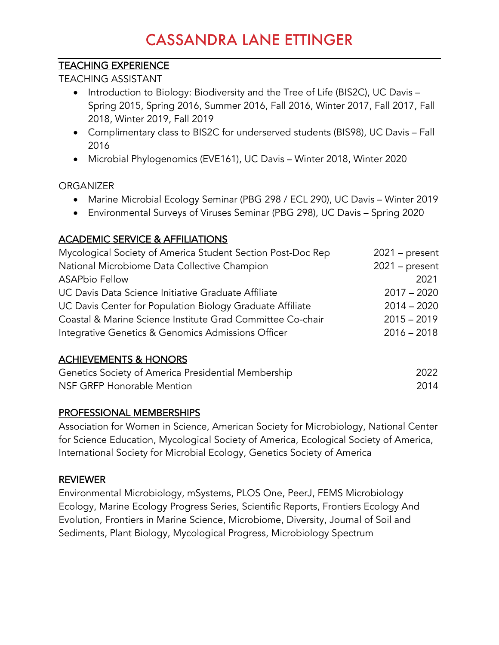## TEACHING EXPERIENCE

TEACHING ASSISTANT

- Introduction to Biology: Biodiversity and the Tree of Life (BIS2C), UC Davis Spring 2015, Spring 2016, Summer 2016, Fall 2016, Winter 2017, Fall 2017, Fall 2018, Winter 2019, Fall 2019
- Complimentary class to BIS2C for underserved students (BIS98), UC Davis Fall 2016
- Microbial Phylogenomics (EVE161), UC Davis Winter 2018, Winter 2020

### **ORGANIZER**

- Marine Microbial Ecology Seminar (PBG 298 / ECL 290), UC Davis Winter 2019
- Environmental Surveys of Viruses Seminar (PBG 298), UC Davis Spring 2020

## ACADEMIC SERVICE & AFFILIATIONS

| Mycological Society of America Student Section Post-Doc Rep | $2021$ – present |
|-------------------------------------------------------------|------------------|
| National Microbiome Data Collective Champion                | $2021$ – present |
| <b>ASAPbio Fellow</b>                                       | 2021             |
| UC Davis Data Science Initiative Graduate Affiliate         | $2017 - 2020$    |
| UC Davis Center for Population Biology Graduate Affiliate   | $2014 - 2020$    |
| Coastal & Marine Science Institute Grad Committee Co-chair  | $2015 - 2019$    |
| Integrative Genetics & Genomics Admissions Officer          | $2016 - 2018$    |
|                                                             |                  |

## ACHIEVEMENTS & HONORS

| Genetics Society of America Presidential Membership | 2022 |
|-----------------------------------------------------|------|
| NSF GRFP Honorable Mention                          | 2014 |

### PROFESSIONAL MEMBERSHIPS

Association for Women in Science, American Society for Microbiology, National Center for Science Education, Mycological Society of America, Ecological Society of America, International Society for Microbial Ecology, Genetics Society of America

### REVIEWER

Environmental Microbiology, mSystems, PLOS One, PeerJ, FEMS Microbiology Ecology, Marine Ecology Progress Series, Scientific Reports, Frontiers Ecology And Evolution, Frontiers in Marine Science, Microbiome, Diversity, Journal of Soil and Sediments, Plant Biology, Mycological Progress, Microbiology Spectrum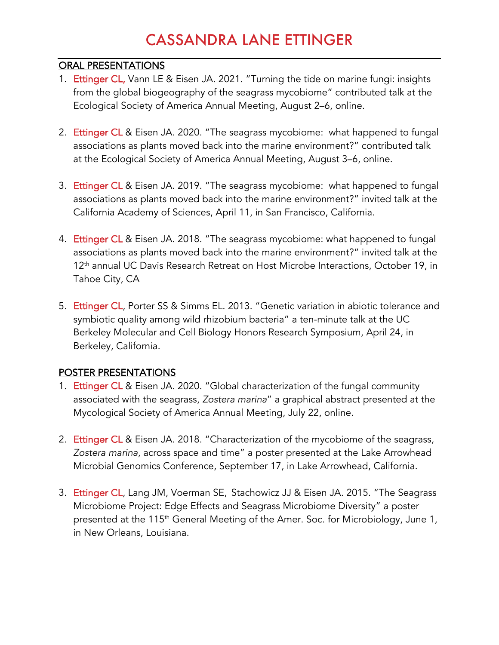#### ORAL PRESENTATIONS

- 1. Ettinger CL, Vann LE & Eisen JA. 2021. "Turning the tide on marine fungi: insights from the global biogeography of the seagrass mycobiome" contributed talk at the Ecological Society of America Annual Meeting, August 2–6, online.
- 2. Ettinger CL & Eisen JA. 2020. "The seagrass mycobiome: what happened to fungal associations as plants moved back into the marine environment?" contributed talk at the Ecological Society of America Annual Meeting, August 3–6, online.
- 3. Ettinger CL & Eisen JA. 2019. "The seagrass mycobiome: what happened to fungal associations as plants moved back into the marine environment?" invited talk at the California Academy of Sciences, April 11, in San Francisco, California.
- 4. Ettinger CL & Eisen JA. 2018. "The seagrass mycobiome: what happened to fungal associations as plants moved back into the marine environment?" invited talk at the 12<sup>th</sup> annual UC Davis Research Retreat on Host Microbe Interactions, October 19, in Tahoe City, CA
- 5. Ettinger CL, Porter SS & Simms EL. 2013. "Genetic variation in abiotic tolerance and symbiotic quality among wild rhizobium bacteria" a ten-minute talk at the UC Berkeley Molecular and Cell Biology Honors Research Symposium, April 24, in Berkeley, California.

### POSTER PRESENTATIONS

- 1. Ettinger CL & Eisen JA. 2020. "Global characterization of the fungal community associated with the seagrass, *Zostera marina*" a graphical abstract presented at the Mycological Society of America Annual Meeting, July 22, online.
- 2. Ettinger CL & Eisen JA. 2018. "Characterization of the mycobiome of the seagrass*, Zostera marina*, across space and time" a poster presented at the Lake Arrowhead Microbial Genomics Conference, September 17, in Lake Arrowhead, California.
- 3. Ettinger CL, Lang JM, Voerman SE, Stachowicz JJ & Eisen JA. 2015. "The Seagrass Microbiome Project: Edge Effects and Seagrass Microbiome Diversity" a poster presented at the 115<sup>th</sup> General Meeting of the Amer. Soc. for Microbiology, June 1, in New Orleans, Louisiana.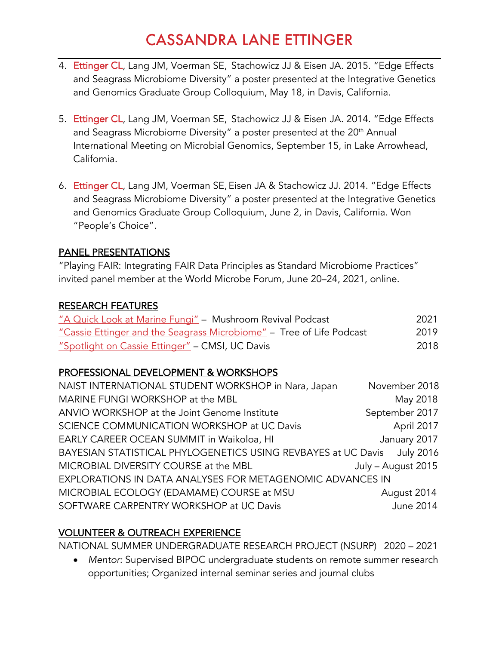- 4. Ettinger CL, Lang JM, Voerman SE, Stachowicz JJ & Eisen JA. 2015. "Edge Effects and Seagrass Microbiome Diversity" a poster presented at the Integrative Genetics and Genomics Graduate Group Colloquium, May 18, in Davis, California.
- 5. Ettinger CL, Lang JM, Voerman SE, Stachowicz JJ & Eisen JA. 2014. "Edge Effects and Seagrass Microbiome Diversity" a poster presented at the 20<sup>th</sup> Annual International Meeting on Microbial Genomics, September 15, in Lake Arrowhead, California.
- 6. Ettinger CL, Lang JM, Voerman SE, Eisen JA & Stachowicz JJ. 2014. "Edge Effects and Seagrass Microbiome Diversity" a poster presented at the Integrative Genetics and Genomics Graduate Group Colloquium, June 2, in Davis, California. Won "People's Choice".

#### PANEL PRESENTATIONS

"Playing FAIR: Integrating FAIR Data Principles as Standard Microbiome Practices" invited panel member at the World Microbe Forum, June 20–24, 2021, online.

#### RESEARCH FEATURES

| "A Quick Look at Marine Fungi" - Mushroom Revival Podcast            | 2021 |
|----------------------------------------------------------------------|------|
| "Cassie Ettinger and the Seagrass Microbiome" - Tree of Life Podcast | 2019 |
| "Spotlight on Cassie Ettinger" - CMSI, UC Davis                      | 2018 |

### PROFESSIONAL DEVELOPMENT & WORKSHOPS

| NAIST INTERNATIONAL STUDENT WORKSHOP in Nara, Japan           | November 2018      |
|---------------------------------------------------------------|--------------------|
| MARINE FUNGI WORKSHOP at the MBL                              | May 2018           |
| ANVIO WORKSHOP at the Joint Genome Institute                  | September 2017     |
| SCIENCE COMMUNICATION WORKSHOP at UC Davis                    | April 2017         |
| EARLY CAREER OCEAN SUMMIT in Waikoloa, HI                     | January 2017       |
| BAYESIAN STATISTICAL PHYLOGENETICS USING REVBAYES at UC Davis | <b>July 2016</b>   |
| MICROBIAL DIVERSITY COURSE at the MBL                         | July - August 2015 |
| EXPLORATIONS IN DATA ANALYSES FOR METAGENOMIC ADVANCES IN     |                    |
| MICROBIAL ECOLOGY (EDAMAME) COURSE at MSU                     | August 2014        |
| SOFTWARE CARPENTRY WORKSHOP at UC Davis                       | <b>June 2014</b>   |

## VOLUNTEER & OUTREACH EXPERIENCE

NATIONAL SUMMER UNDERGRADUATE RESEARCH PROJECT (NSURP) 2020 – 2021

• *Mentor:* Supervised BIPOC undergraduate students on remote summer research opportunities; Organized internal seminar series and journal clubs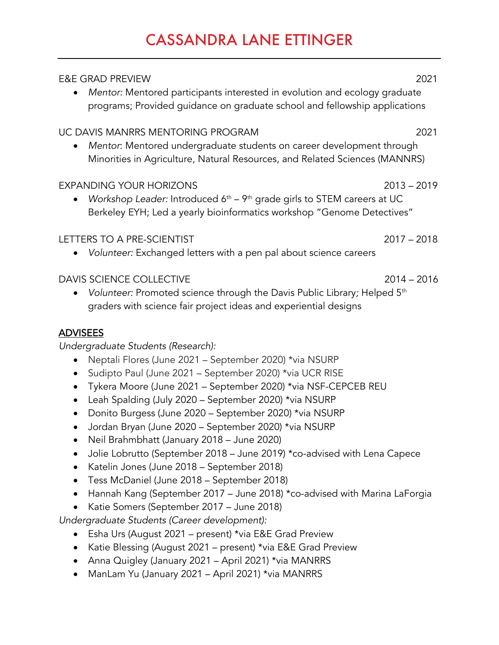| <b>E&amp;E GRAD PREVIEW</b><br>Mentor: Mentored participants interested in evolution and ecology graduate<br>programs; Provided guidance on graduate school and fellowship applications   | 2021          |
|-------------------------------------------------------------------------------------------------------------------------------------------------------------------------------------------|---------------|
| UC DAVIS MANRRS MENTORING PROGRAM<br>Mentor: Mentored undergraduate students on career development through<br>Minorities in Agriculture, Natural Resources, and Related Sciences (MANNRS) | 2021          |
| <b>EXPANDING YOUR HORIZONS</b><br>Workshop Leader: Introduced $6th - 9th$ grade girls to STEM careers at UC<br>Berkeley EYH; Led a yearly bioinformatics workshop "Genome Detectives"     | $2013 - 2019$ |
| <b>LETTERS TO A PRE-SCIENTIST</b><br>Volunteer: Exchanged letters with a pen pal about science careers                                                                                    | $2017 - 2018$ |
| <b>DAVIS SCIENCE COLLECTIVE</b><br>Volunteer: Promoted science through the Davis Public Library; Helped 5th<br>graders with science fair project ideas and experiential designs           | $2014 - 2016$ |
| <u>ADVISEES</u><br>Undergraduate Students (Research):<br>Neptali Flores (June 2021 – September 2020) *via NSURP<br>Sudipto Paul (June 2021 - September 2020) *via UCR RISE                |               |

- Tykera Moore (June 2021 September 2020) \*via NSF-CEPCEB REU
- Leah Spalding (July 2020 September 2020) \*via NSURP
- Donito Burgess (June 2020 September 2020) \*via NSURP
- Jordan Bryan (June 2020 September 2020) \*via NSURP
- Neil Brahmbhatt (January 2018 June 2020)
- Jolie Lobrutto (September 2018 June 2019) \*co-advised with Lena Capece
- Katelin Jones (June 2018 September 2018)
- Tess McDaniel (June 2018 September 2018)
- Hannah Kang (September 2017 June 2018) \*co-advised with Marina LaForgia
- Katie Somers (September 2017 June 2018)

*Undergraduate Students (Career development):*

- Esha Urs (August 2021 present) \*via E&E Grad Preview
- Katie Blessing (August 2021 present) \*via E&E Grad Preview
- Anna Quigley (January 2021 April 2021) \*via MANRRS
- ManLam Yu (January 2021 April 2021) \*via MANRRS